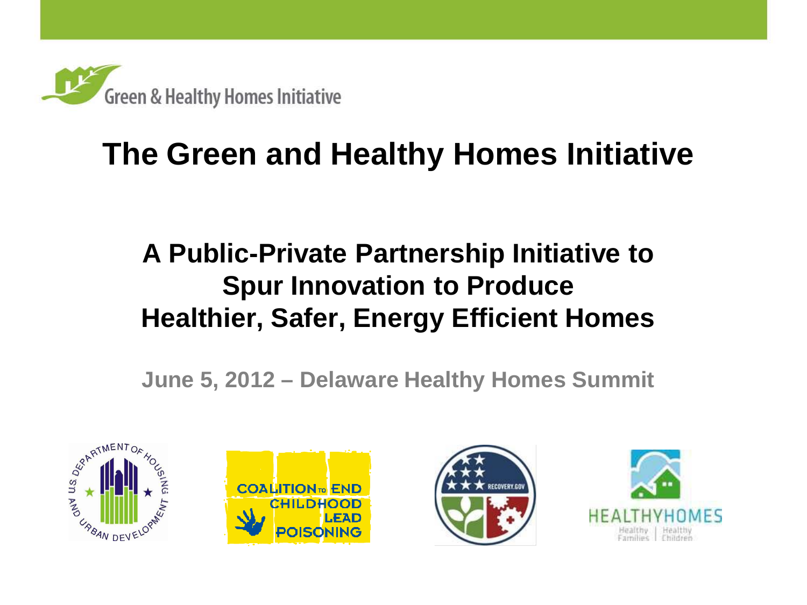

## **The Green and Healthy Homes Initiative**

## **A Public-Private Partnership Initiative to Spur Innovation to Produce Healthier, Safer, Energy Efficient Homes**

**June 5, 2012 – Delaware Healthy Homes Summit**







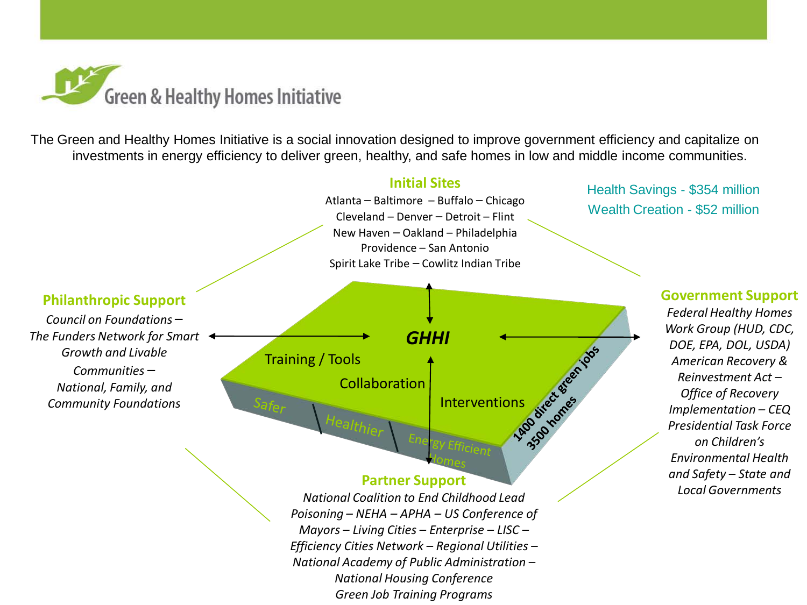

The Green and Healthy Homes Initiative is a social innovation designed to improve government efficiency and capitalize on investments in energy efficiency to deliver green, healthy, and safe homes in low and middle income communities.

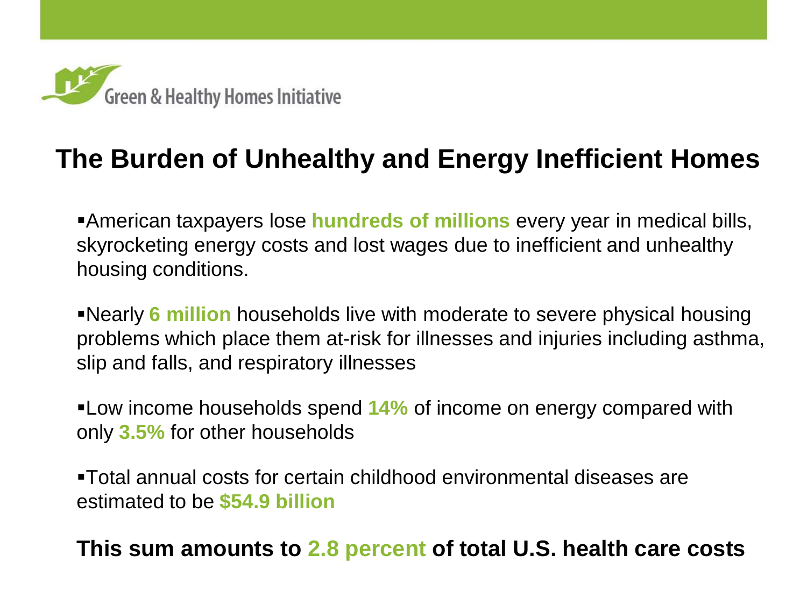

## **The Burden of Unhealthy and Energy Inefficient Homes**

Ξ

American taxpayers lose **hundreds of millions** every year in medical bills, skyrocketing energy costs and lost wages due to inefficient and unhealthy housing conditions.

Nearly **6 million** households live with moderate to severe physical housing problems which place them at-risk for illnesses and injuries including asthma, slip and falls, and respiratory illnesses

Low income households spend **14%** of income on energy compared with only **3.5%** for other households

Total annual costs for certain childhood environmental diseases are estimated to be **\$54.9 billion**

#### **This sum amounts to 2.8 percent of total U.S. health care costs**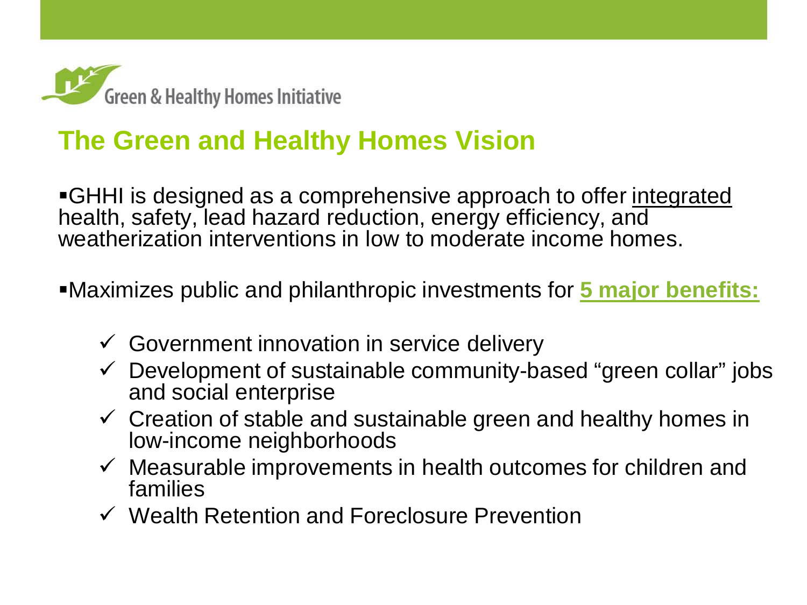

## **The Green and Healthy Homes Vision**

GHHI is designed as a comprehensive approach to offer integrated health, safety, lead hazard reduction, energy efficiency, and weatherization interventions in low to moderate income homes.

Maximizes public and philanthropic investments for **5 major benefits:**

- $\checkmark$  Government innovation in service delivery
- $\checkmark$  Development of sustainable community-based "green collar" jobs and social enterprise
- $\checkmark$  Creation of stable and sustainable green and healthy homes in low-income neighborhoods
- $\checkmark$  Measurable improvements in health outcomes for children and families
- $\checkmark$  Wealth Retention and Foreclosure Prevention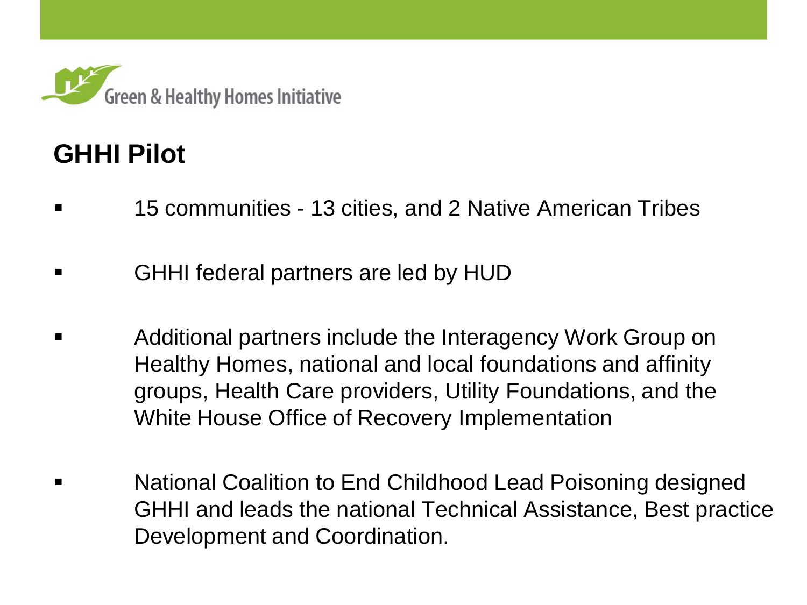

## **GHHI Pilot**

- 15 communities 13 cities, and 2 Native American Tribes
- GHHI federal partners are led by HUD
- Additional partners include the Interagency Work Group on Healthy Homes, national and local foundations and affinity groups, Health Care providers, Utility Foundations, and the White House Office of Recovery Implementation
- National Coalition to End Childhood Lead Poisoning designed GHHI and leads the national Technical Assistance, Best practice Development and Coordination.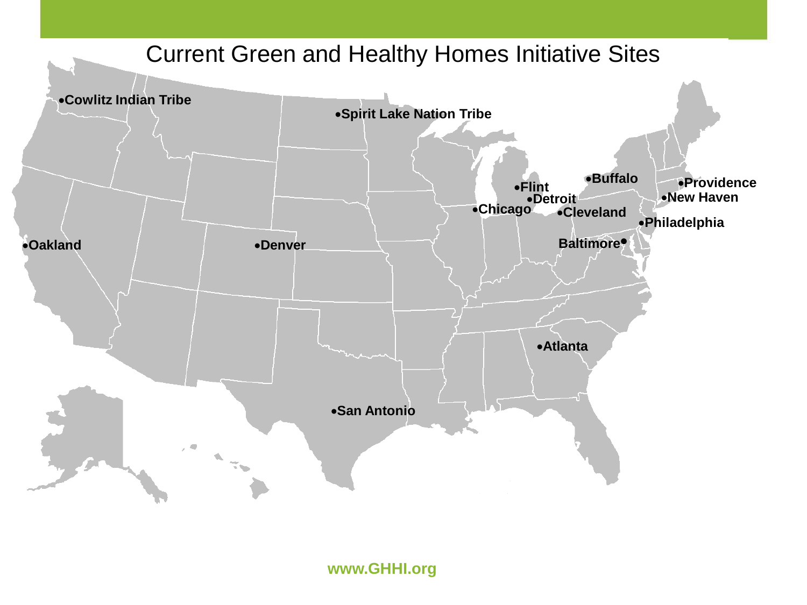

**www.GHHI.org**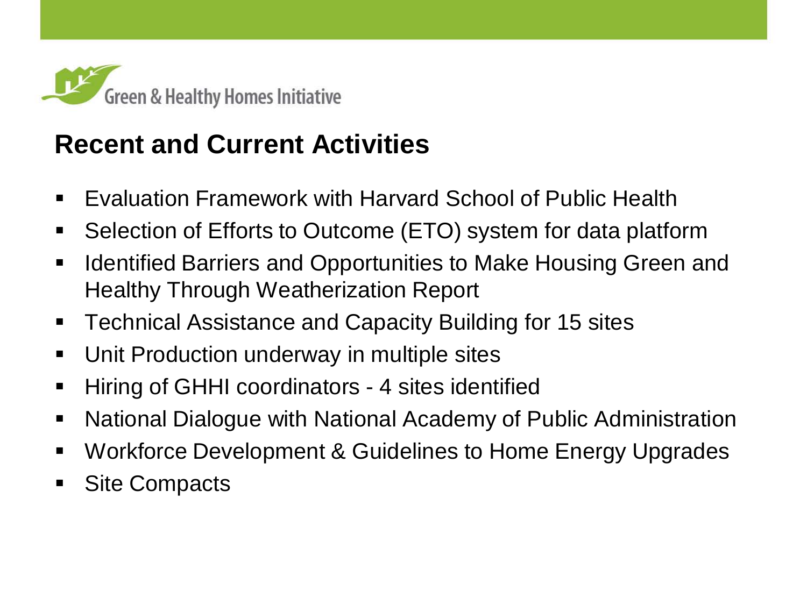

## **Recent and Current Activities**

- Evaluation Framework with Harvard School of Public Health
- Selection of Efforts to Outcome (ETO) system for data platform
- **IDED 11 FE Artified Barriers and Opportunities to Make Housing Green and 1** Healthy Through Weatherization Report
- **Technical Assistance and Capacity Building for 15 sites**
- Unit Production underway in multiple sites
- **Hiring of GHHI coordinators 4 sites identified**
- National Dialogue with National Academy of Public Administration
- Workforce Development & Guidelines to Home Energy Upgrades
- Site Compacts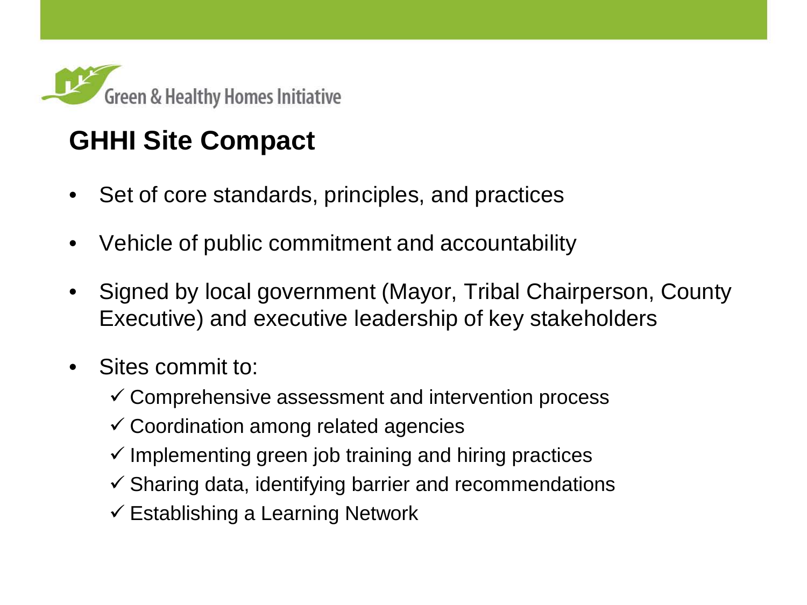

## **GHHI Site Compact**

- Set of core standards, principles, and practices
- Vehicle of public commitment and accountability
- Signed by local government (Mayor, Tribal Chairperson, County Executive) and executive leadership of key stakeholders
- Sites commit to:
	- $\checkmark$  Comprehensive assessment and intervention process
	- $\checkmark$  Coordination among related agencies
	- $\checkmark$  Implementing green job training and hiring practices
	- $\checkmark$  Sharing data, identifying barrier and recommendations
	- $\checkmark$  Establishing a Learning Network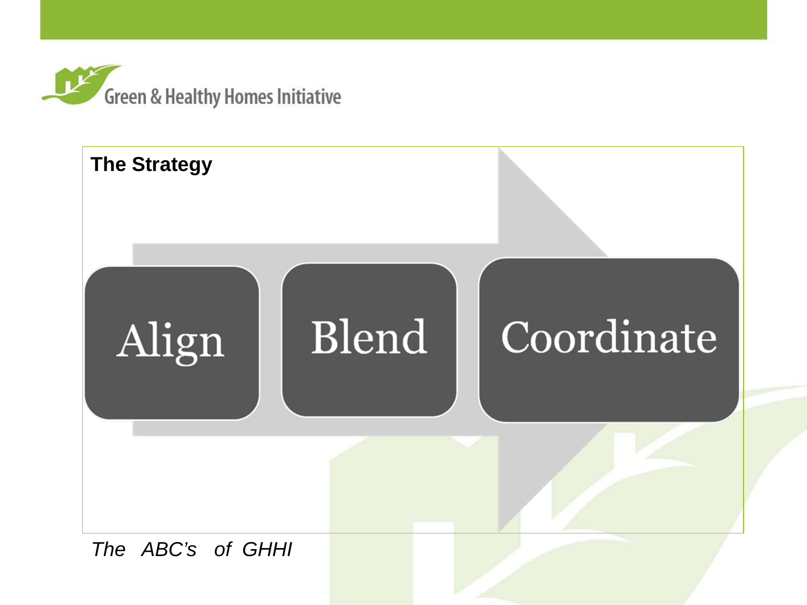

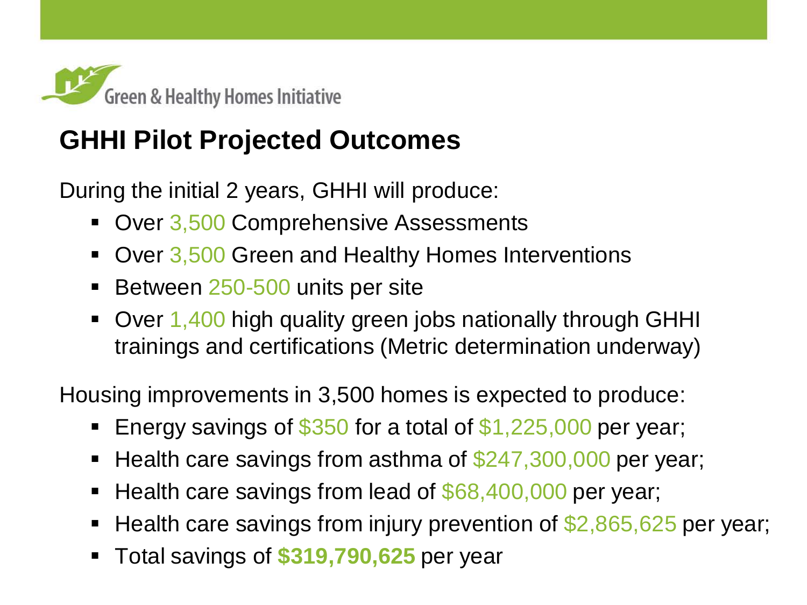

## **GHHI Pilot Projected Outcomes**

During the initial 2 years, GHHI will produce:

- Over 3,500 Comprehensive Assessments
- Over 3,500 Green and Healthy Homes Interventions
- Between 250-500 units per site
- Over 1,400 high quality green jobs nationally through GHHI trainings and certifications (Metric determination underway)

Housing improvements in 3,500 homes is expected to produce:

- Energy savings of \$350 for a total of \$1,225,000 per year;
- Health care savings from asthma of  $$247,300,000$  per year;
- Health care savings from lead of \$68,400,000 per year;
- Health care savings from injury prevention of \$2,865,625 per year;
- Total savings of **\$319,790,625** per year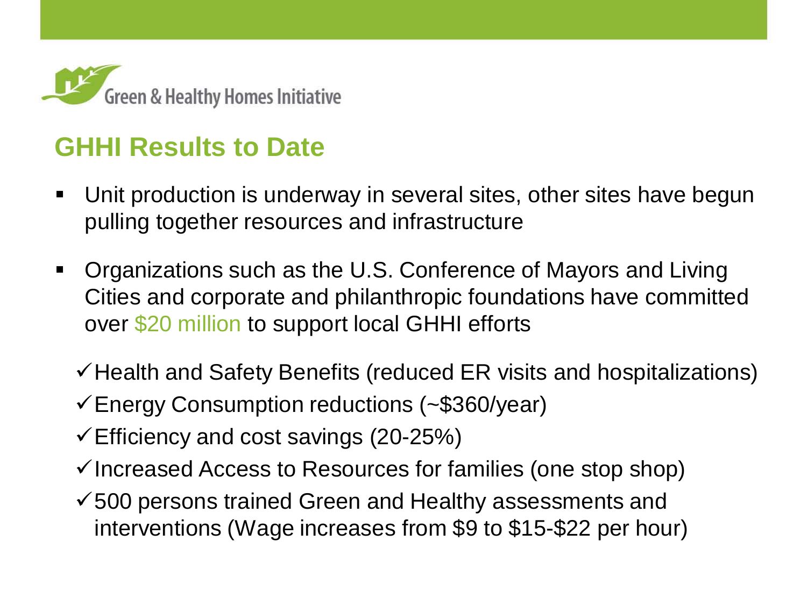

## **GHHI Results to Date**

- Unit production is underway in several sites, other sites have begun pulling together resources and infrastructure
- Organizations such as the U.S. Conference of Mayors and Living Cities and corporate and philanthropic foundations have committed over \$20 million to support local GHHI efforts
	- $\checkmark$  Health and Safety Benefits (reduced ER visits and hospitalizations)
	- Energy Consumption reductions (~\$360/year)
	- $\checkmark$  Efficiency and cost savings (20-25%)
	- $\checkmark$  Increased Access to Resources for families (one stop shop)
	- $\checkmark$  500 persons trained Green and Healthy assessments and interventions (Wage increases from \$9 to \$15-\$22 per hour)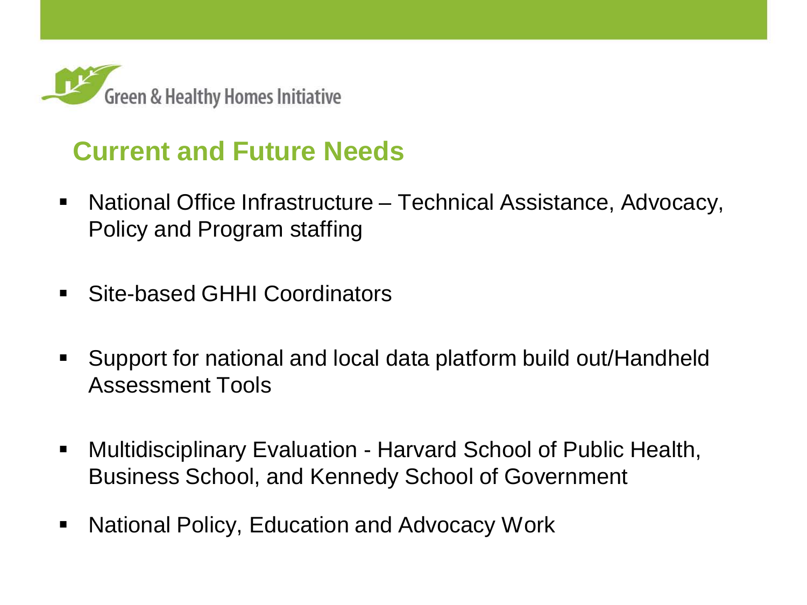

## **Current and Future Needs**

- National Office Infrastructure Technical Assistance, Advocacy, Policy and Program staffing
- Site-based GHHI Coordinators
- Support for national and local data platform build out/Handheld Assessment Tools
- Multidisciplinary Evaluation Harvard School of Public Health, Business School, and Kennedy School of Government
- National Policy, Education and Advocacy Work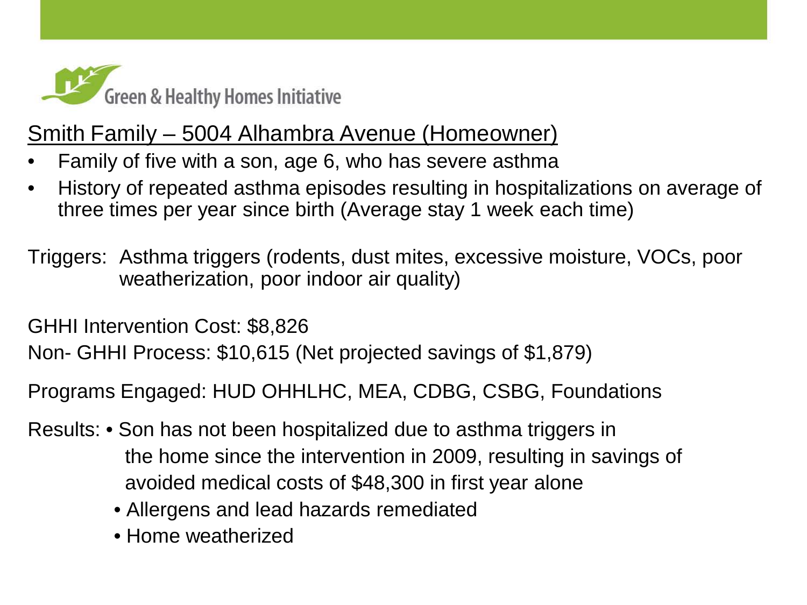

#### Smith Family – 5004 Alhambra Avenue (Homeowner)

- Family of five with a son, age 6, who has severe asthma
- History of repeated asthma episodes resulting in hospitalizations on average of three times per year since birth (Average stay 1 week each time)
- Triggers: Asthma triggers (rodents, dust mites, excessive moisture, VOCs, poor weatherization, poor indoor air quality)

GHHI Intervention Cost: \$8,826

Non- GHHI Process: \$10,615 (Net projected savings of \$1,879)

Programs Engaged: HUD OHHLHC, MEA, CDBG, CSBG, Foundations

- Results: Son has not been hospitalized due to asthma triggers in the home since the intervention in 2009, resulting in savings of avoided medical costs of \$48,300 in first year alone
	- Allergens and lead hazards remediated
	- Home weatherized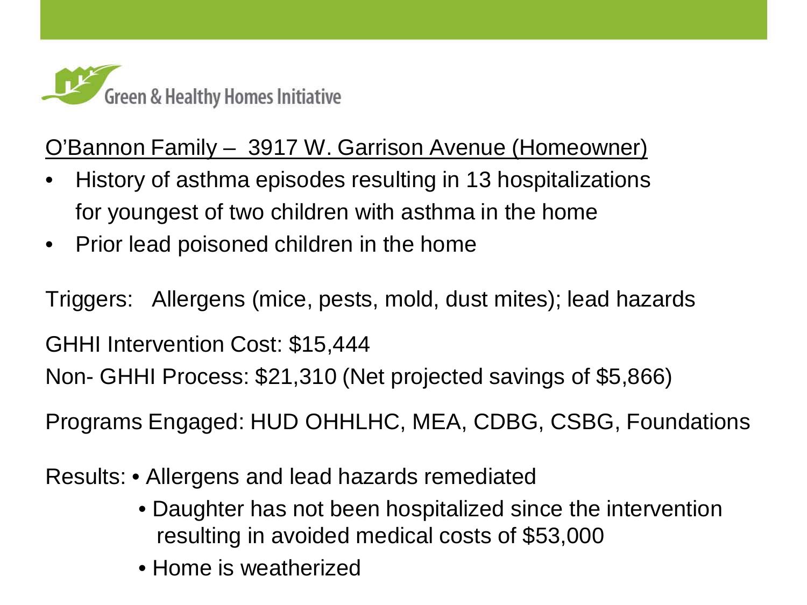

#### O'Bannon Family – 3917 W. Garrison Avenue (Homeowner)

- History of asthma episodes resulting in 13 hospitalizations for youngest of two children with asthma in the home
- Prior lead poisoned children in the home

Triggers: Allergens (mice, pests, mold, dust mites); lead hazards

GHHI Intervention Cost: \$15,444

Non- GHHI Process: \$21,310 (Net projected savings of \$5,866)

Programs Engaged: HUD OHHLHC, MEA, CDBG, CSBG, Foundations

Results: • Allergens and lead hazards remediated

- Daughter has not been hospitalized since the intervention resulting in avoided medical costs of \$53,000
- Home is weatherized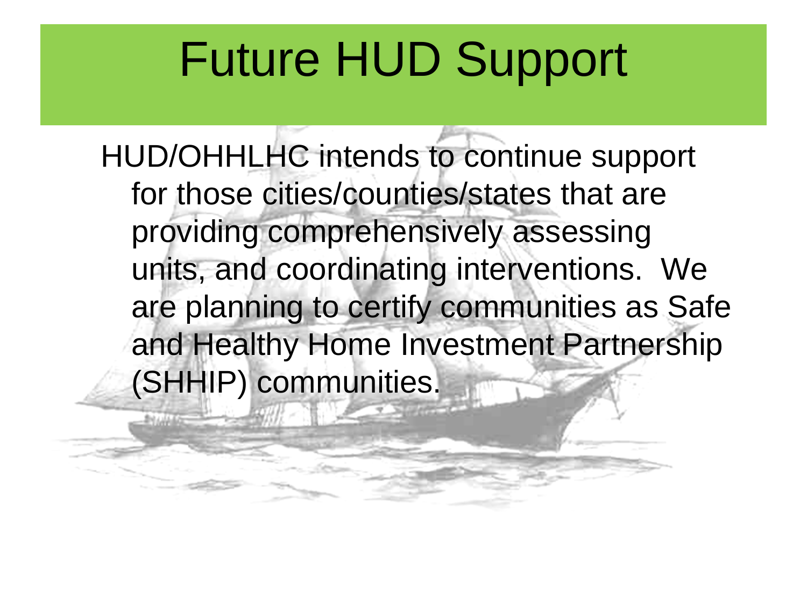# Future HUD Support

HUD/OHHLHC intends to continue support for those cities/counties/states that are providing comprehensively assessing units, and coordinating interventions. We are planning to certify communities as Safe and Healthy Home Investment Partnership (SHHIP) communities.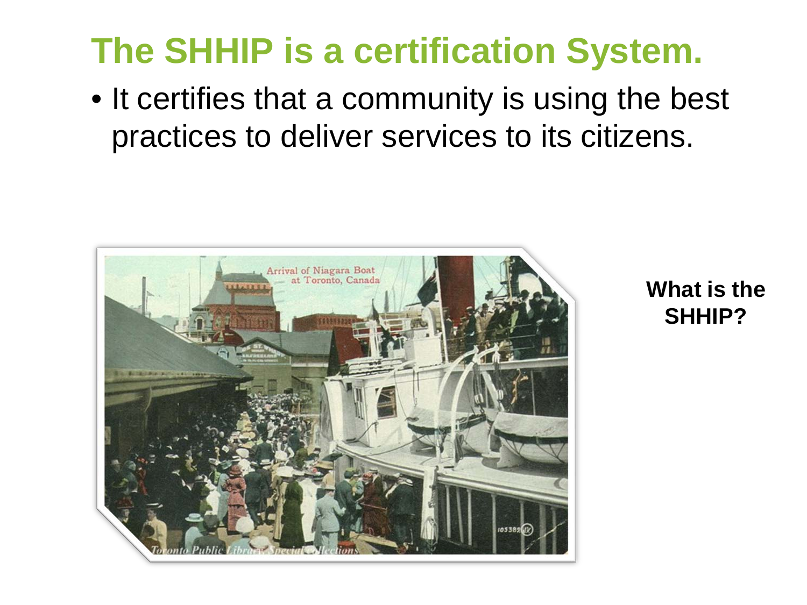## **The SHHIP is a certification System.**

• It certifies that a community is using the best practices to deliver services to its citizens.



**What is the SHHIP?**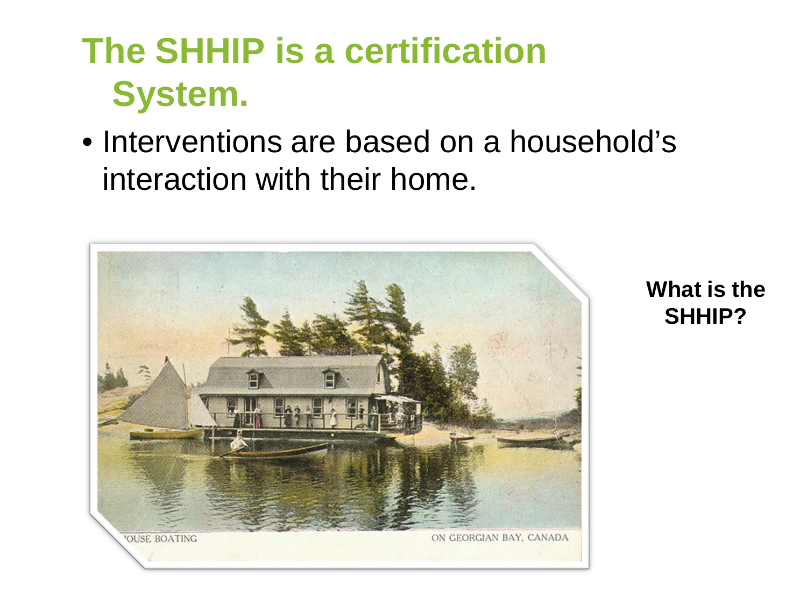## **The SHHIP is a certification System.**

• Interventions are based on a household's interaction with their home.



**What is the SHHIP?**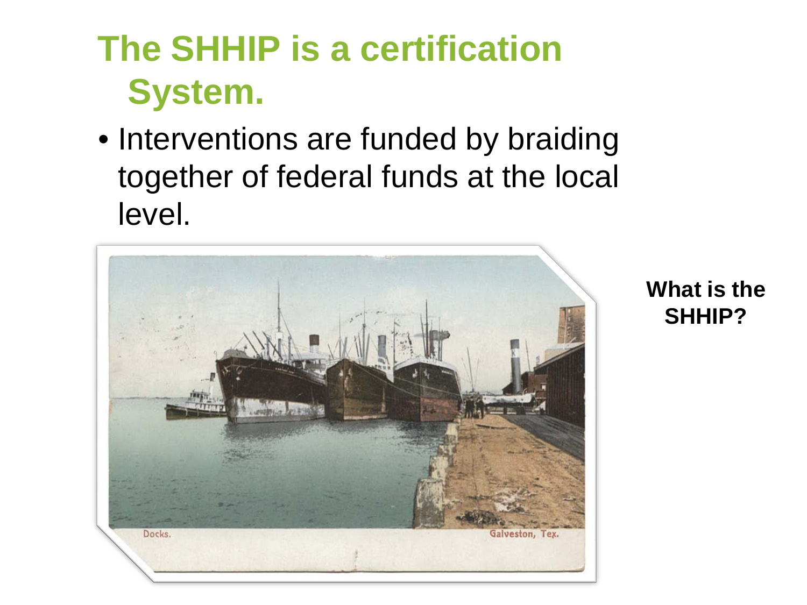## **The SHHIP is a certification System.**

• Interventions are funded by braiding together of federal funds at the local level.



**What is the SHHIP?**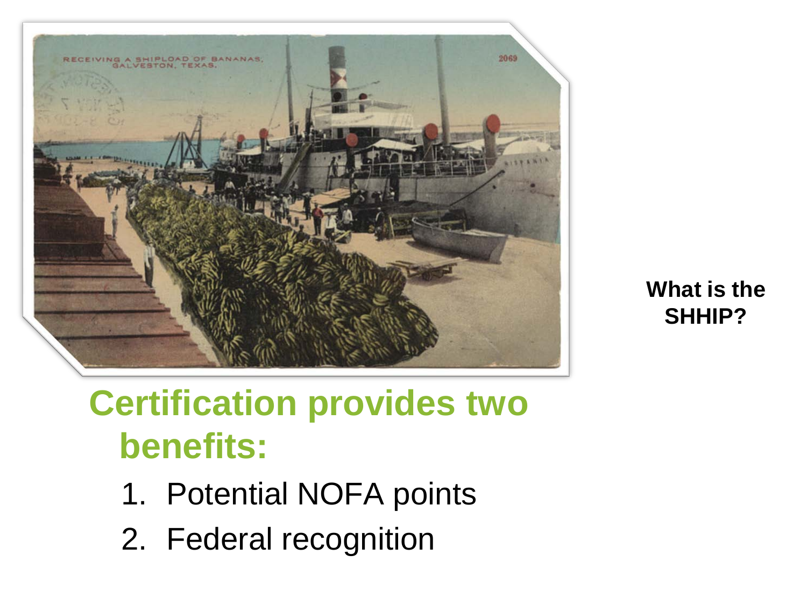

**What is the SHHIP?**

## **Certification provides two benefits:**

- 1. Potential NOFA points
- 2. Federal recognition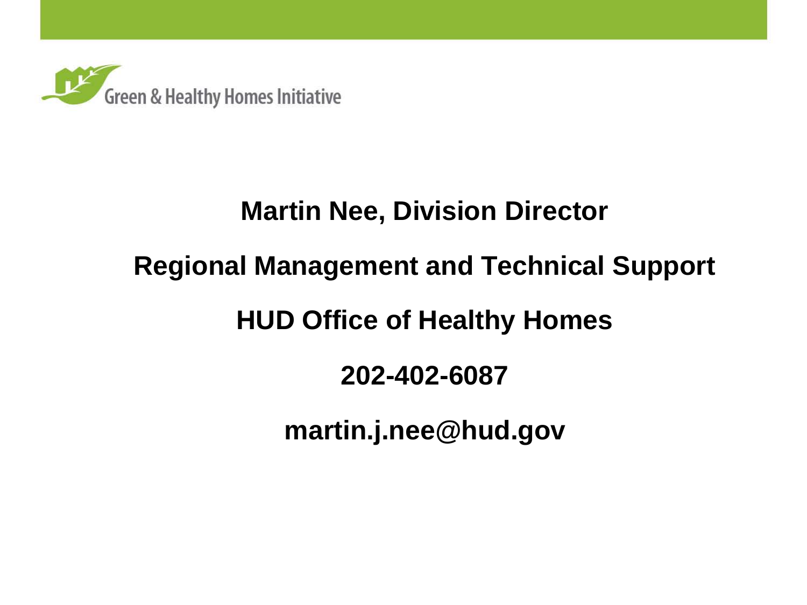

## **Martin Nee, Division Director**

## **Regional Management and Technical Support**

## **HUD Office of Healthy Homes**

## **202-402-6087**

**martin.j.nee@hud.gov**